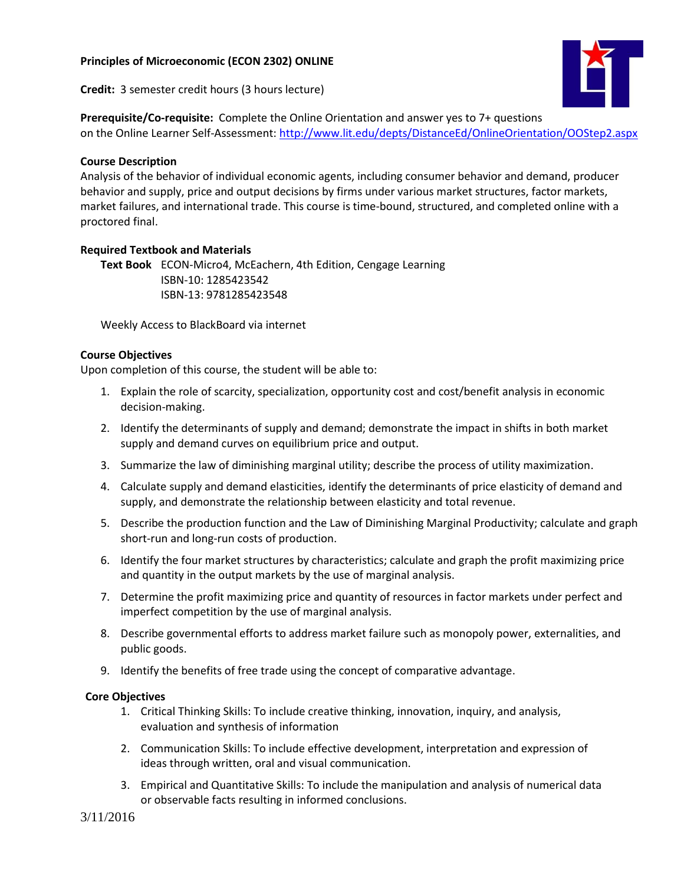## **Principles of Microeconomic (ECON 2302) ONLINE**

**Credit:** 3 semester credit hours (3 hours lecture)



**Prerequisite/Co-requisite:** Complete the Online Orientation and answer yes to 7+ questions on the Online Learner Self-Assessment:<http://www.lit.edu/depts/DistanceEd/OnlineOrientation/OOStep2.aspx>

## **Course Description**

Analysis of the behavior of individual economic agents, including consumer behavior and demand, producer behavior and supply, price and output decisions by firms under various market structures, factor markets, market failures, and international trade. This course is time-bound, structured, and completed online with a proctored final.

## **Required Textbook and Materials**

**Text Book** ECON-Micro4, McEachern, 4th Edition, Cengage Learning ISBN-10: 1285423542 ISBN-13: 9781285423548

Weekly Access to BlackBoard via internet

#### **Course Objectives**

Upon completion of this course, the student will be able to:

- 1. Explain the role of scarcity, specialization, opportunity cost and cost/benefit analysis in economic decision-making.
- 2. Identify the determinants of supply and demand; demonstrate the impact in shifts in both market supply and demand curves on equilibrium price and output.
- 3. Summarize the law of diminishing marginal utility; describe the process of utility maximization.
- 4. Calculate supply and demand elasticities, identify the determinants of price elasticity of demand and supply, and demonstrate the relationship between elasticity and total revenue.
- 5. Describe the production function and the Law of Diminishing Marginal Productivity; calculate and graph short-run and long-run costs of production.
- 6. Identify the four market structures by characteristics; calculate and graph the profit maximizing price and quantity in the output markets by the use of marginal analysis.
- 7. Determine the profit maximizing price and quantity of resources in factor markets under perfect and imperfect competition by the use of marginal analysis.
- 8. Describe governmental efforts to address market failure such as monopoly power, externalities, and public goods.
- 9. Identify the benefits of free trade using the concept of comparative advantage.

#### **Core Objectives**

- 1. Critical Thinking Skills: To include creative thinking, innovation, inquiry, and analysis, evaluation and synthesis of information
- 2. Communication Skills: To include effective development, interpretation and expression of ideas through written, oral and visual communication.
- 3. Empirical and Quantitative Skills: To include the manipulation and analysis of numerical data or observable facts resulting in informed conclusions.

3/11/2016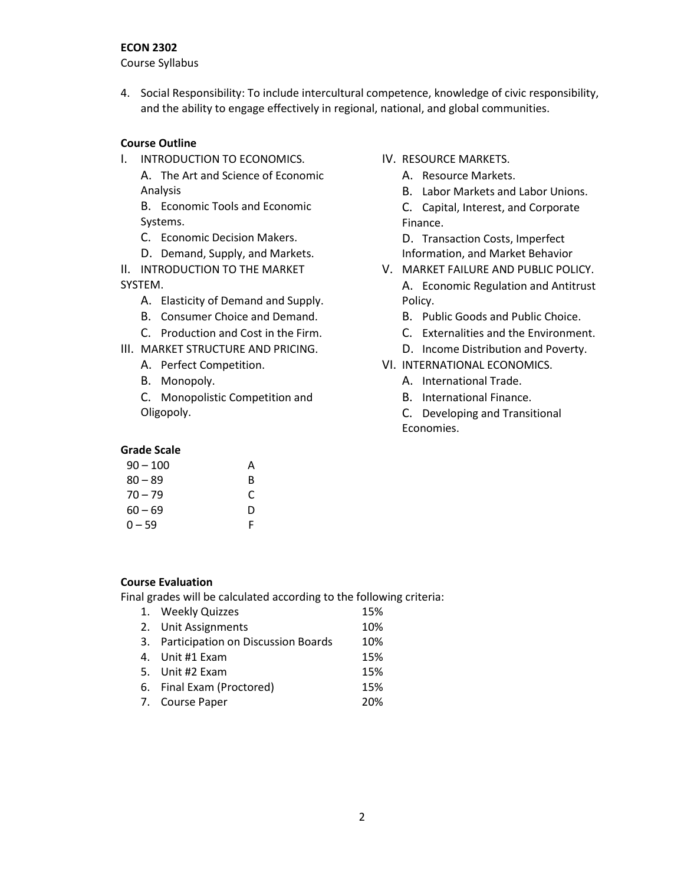#### **ECON 2302**

Course Syllabus

4. Social Responsibility: To include intercultural competence, knowledge of civic responsibility, and the ability to engage effectively in regional, national, and global communities.

#### **Course Outline**

I. INTRODUCTION TO ECONOMICS. A. The Art and Science of Economic Analysis

B. Economic Tools and Economic Systems.

- C. Economic Decision Makers.
- D. Demand, Supply, and Markets.
- II. INTRODUCTION TO THE MARKET SYSTEM.
	- A. Elasticity of Demand and Supply.
	- B. Consumer Choice and Demand.
	- C. Production and Cost in the Firm.
- III. MARKET STRUCTURE AND PRICING.
	- A. Perfect Competition.
	- B. Monopoly.

C. Monopolistic Competition and Oligopoly.

#### **Grade Scale**

| $90 - 100$ | А |
|------------|---|
| $80 - 89$  | B |
| $70 - 79$  | C |
| $60 - 69$  | D |
| $0 - 59$   | F |

- IV. RESOURCE MARKETS.
	- A. Resource Markets.
	- B. Labor Markets and Labor Unions.
	- C. Capital, Interest, and Corporate Finance.

D. Transaction Costs, Imperfect Information, and Market Behavior

- V. MARKET FAILURE AND PUBLIC POLICY. A. Economic Regulation and Antitrust Policy.
	- B. Public Goods and Public Choice.
	- C. Externalities and the Environment.
	- D. Income Distribution and Poverty.
- VI. INTERNATIONAL ECONOMICS.
	- A. International Trade.
	- B. International Finance.
	- C. Developing and Transitional Economies.

#### **Course Evaluation**

Final grades will be calculated according to the following criteria:

| 1. Weekly Quizzes                     | 15% |
|---------------------------------------|-----|
| 2. Unit Assignments                   | 10% |
| 3. Participation on Discussion Boards | 10% |
| 4. Unit #1 Exam                       | 15% |
| 5. Unit #2 Exam                       | 15% |
| 6. Final Exam (Proctored)             | 15% |
| 7. Course Paper                       | 20% |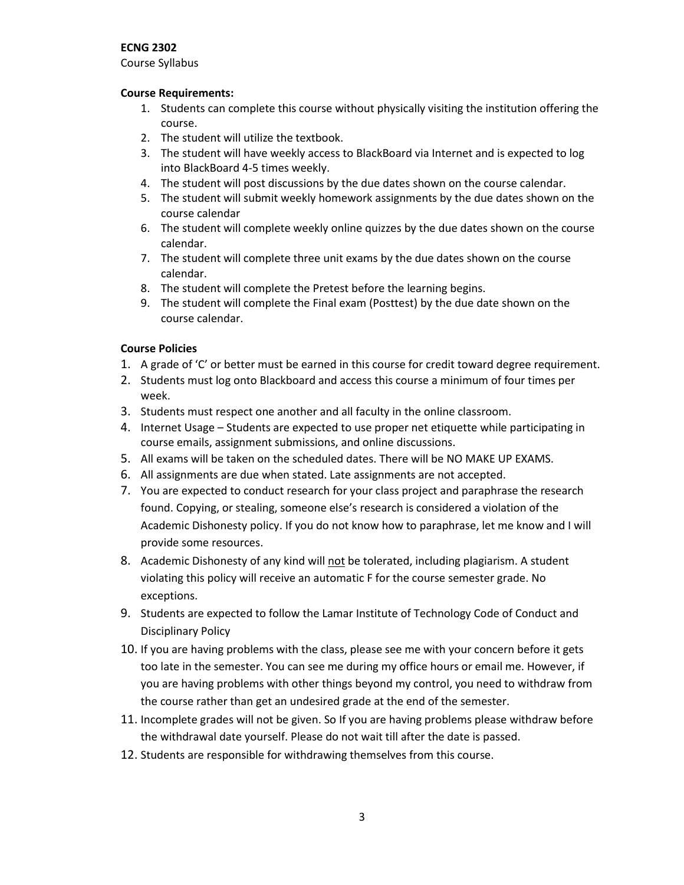#### **ECNG 2302**

Course Syllabus

#### **Course Requirements:**

- 1. Students can complete this course without physically visiting the institution offering the course.
- 2. The student will utilize the textbook.
- 3. The student will have weekly access to BlackBoard via Internet and is expected to log into BlackBoard 4-5 times weekly.
- 4. The student will post discussions by the due dates shown on the course calendar.
- 5. The student will submit weekly homework assignments by the due dates shown on the course calendar
- 6. The student will complete weekly online quizzes by the due dates shown on the course calendar.
- 7. The student will complete three unit exams by the due dates shown on the course calendar.
- 8. The student will complete the Pretest before the learning begins.
- 9. The student will complete the Final exam (Posttest) by the due date shown on the course calendar.

## **Course Policies**

- 1. A grade of 'C' or better must be earned in this course for credit toward degree requirement.
- 2. Students must log onto Blackboard and access this course a minimum of four times per week.
- 3. Students must respect one another and all faculty in the online classroom.
- 4. Internet Usage Students are expected to use proper net etiquette while participating in course emails, assignment submissions, and online discussions.
- 5. All exams will be taken on the scheduled dates. There will be NO MAKE UP EXAMS.
- 6. All assignments are due when stated. Late assignments are not accepted.
- 7. You are expected to conduct research for your class project and paraphrase the research found. Copying, or stealing, someone else's research is considered a violation of the Academic Dishonesty policy. If you do not know how to paraphrase, let me know and I will provide some resources.
- 8. Academic Dishonesty of any kind will not be tolerated, including plagiarism. A student violating this policy will receive an automatic F for the course semester grade. No exceptions.
- 9. Students are expected to follow the Lamar Institute of Technology Code of Conduct and Disciplinary Policy
- 10. If you are having problems with the class, please see me with your concern before it gets too late in the semester. You can see me during my office hours or email me. However, if you are having problems with other things beyond my control, you need to withdraw from the course rather than get an undesired grade at the end of the semester.
- 11. Incomplete grades will not be given. So If you are having problems please withdraw before the withdrawal date yourself. Please do not wait till after the date is passed.
- 12. Students are responsible for withdrawing themselves from this course.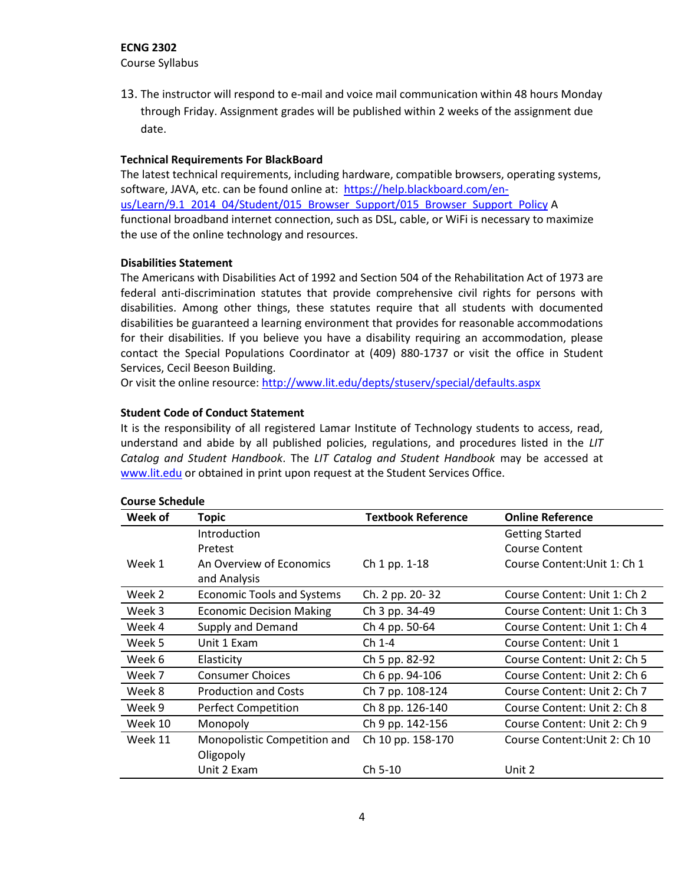# **ECNG 2302**

Course Syllabus

13. The instructor will respond to e-mail and voice mail communication within 48 hours Monday through Friday. Assignment grades will be published within 2 weeks of the assignment due date.

### **Technical Requirements For BlackBoard**

The latest technical requirements, including hardware, compatible browsers, operating systems, software, JAVA, etc. can be found online at: [https://help.blackboard.com/en](https://help.blackboard.com/en-us/Learn/9.1_2014_04/Student/015_Browser_Support/015_Browser_Support_Policy)[us/Learn/9.1\\_2014\\_04/Student/015\\_Browser\\_Support/015\\_Browser\\_Support\\_Policy](https://help.blackboard.com/en-us/Learn/9.1_2014_04/Student/015_Browser_Support/015_Browser_Support_Policy) A functional broadband internet connection, such as DSL, cable, or WiFi is necessary to maximize the use of the online technology and resources.

#### **Disabilities Statement**

The Americans with Disabilities Act of 1992 and Section 504 of the Rehabilitation Act of 1973 are federal anti-discrimination statutes that provide comprehensive civil rights for persons with disabilities. Among other things, these statutes require that all students with documented disabilities be guaranteed a learning environment that provides for reasonable accommodations for their disabilities. If you believe you have a disability requiring an accommodation, please contact the Special Populations Coordinator at (409) 880-1737 or visit the office in Student Services, Cecil Beeson Building.

Or visit the online resource: <http://www.lit.edu/depts/stuserv/special/defaults.aspx>

## **Student Code of Conduct Statement**

It is the responsibility of all registered Lamar Institute of Technology students to access, read, understand and abide by all published policies, regulations, and procedures listed in the *LIT Catalog and Student Handbook*. The *LIT Catalog and Student Handbook* may be accessed at [www.lit.edu](http://www.lit.edu/) or obtained in print upon request at the Student Services Office.

| Week of | <b>Topic</b>                      | <b>Textbook Reference</b> | <b>Online Reference</b>       |
|---------|-----------------------------------|---------------------------|-------------------------------|
|         | Introduction                      |                           | <b>Getting Started</b>        |
|         | Pretest                           |                           | <b>Course Content</b>         |
| Week 1  | An Overview of Economics          | Ch 1 pp. 1-18             | Course Content: Unit 1: Ch 1  |
|         | and Analysis                      |                           |                               |
| Week 2  | <b>Economic Tools and Systems</b> | Ch. 2 pp. 20-32           | Course Content: Unit 1: Ch 2  |
| Week 3  | <b>Economic Decision Making</b>   | Ch 3 pp. 34-49            | Course Content: Unit 1: Ch 3  |
| Week 4  | Supply and Demand                 | Ch 4 pp. 50-64            | Course Content: Unit 1: Ch 4  |
| Week 5  | Unit 1 Exam                       | Ch 1-4                    | Course Content: Unit 1        |
| Week 6  | Elasticity                        | Ch 5 pp. 82-92            | Course Content: Unit 2: Ch 5  |
| Week 7  | <b>Consumer Choices</b>           | Ch 6 pp. 94-106           | Course Content: Unit 2: Ch 6  |
| Week 8  | <b>Production and Costs</b>       | Ch 7 pp. 108-124          | Course Content: Unit 2: Ch 7  |
| Week 9  | Perfect Competition               | Ch 8 pp. 126-140          | Course Content: Unit 2: Ch 8  |
| Week 10 | Monopoly                          | Ch 9 pp. 142-156          | Course Content: Unit 2: Ch 9  |
| Week 11 | Monopolistic Competition and      | Ch 10 pp. 158-170         | Course Content: Unit 2: Ch 10 |
|         | Oligopoly                         |                           |                               |
|         | Unit 2 Exam                       | Ch 5-10                   | Unit 2                        |

#### **Course Schedule**